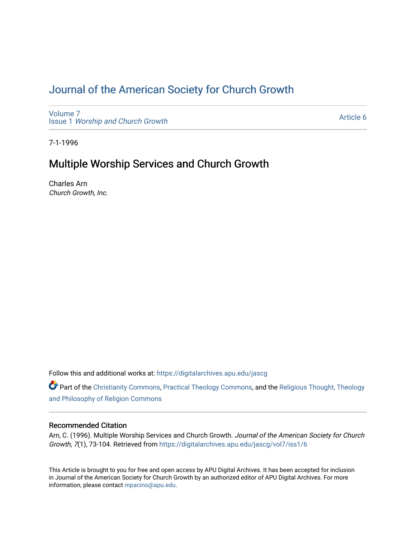# [Journal of the American Society for Church Growth](https://digitalarchives.apu.edu/jascg)

[Volume 7](https://digitalarchives.apu.edu/jascg/vol7) Issue 1 [Worship and Church Growth](https://digitalarchives.apu.edu/jascg/vol7/iss1)

[Article 6](https://digitalarchives.apu.edu/jascg/vol7/iss1/6) 

7-1-1996

## Multiple Worship Services and Church Growth

Charles Arn Church Growth, Inc.

Follow this and additional works at: [https://digitalarchives.apu.edu/jascg](https://digitalarchives.apu.edu/jascg?utm_source=digitalarchives.apu.edu%2Fjascg%2Fvol7%2Fiss1%2F6&utm_medium=PDF&utm_campaign=PDFCoverPages) 

Part of the [Christianity Commons,](http://network.bepress.com/hgg/discipline/1181?utm_source=digitalarchives.apu.edu%2Fjascg%2Fvol7%2Fiss1%2F6&utm_medium=PDF&utm_campaign=PDFCoverPages) [Practical Theology Commons](http://network.bepress.com/hgg/discipline/1186?utm_source=digitalarchives.apu.edu%2Fjascg%2Fvol7%2Fiss1%2F6&utm_medium=PDF&utm_campaign=PDFCoverPages), and the [Religious Thought, Theology](http://network.bepress.com/hgg/discipline/544?utm_source=digitalarchives.apu.edu%2Fjascg%2Fvol7%2Fiss1%2F6&utm_medium=PDF&utm_campaign=PDFCoverPages)  [and Philosophy of Religion Commons](http://network.bepress.com/hgg/discipline/544?utm_source=digitalarchives.apu.edu%2Fjascg%2Fvol7%2Fiss1%2F6&utm_medium=PDF&utm_campaign=PDFCoverPages)

### Recommended Citation

Arn, C. (1996). Multiple Worship Services and Church Growth. Journal of the American Society for Church Growth, 7(1), 73-104. Retrieved from [https://digitalarchives.apu.edu/jascg/vol7/iss1/6](https://digitalarchives.apu.edu/jascg/vol7/iss1/6?utm_source=digitalarchives.apu.edu%2Fjascg%2Fvol7%2Fiss1%2F6&utm_medium=PDF&utm_campaign=PDFCoverPages) 

This Article is brought to you for free and open access by APU Digital Archives. It has been accepted for inclusion in Journal of the American Society for Church Growth by an authorized editor of APU Digital Archives. For more information, please contact [mpacino@apu.edu](mailto:mpacino@apu.edu).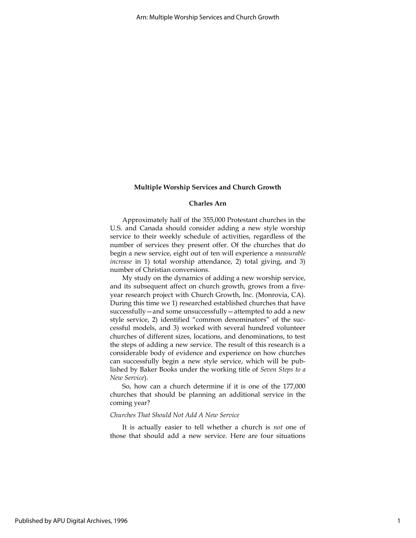#### Charles Arn

Approximately half of the 355,000 Protestant churches in the U.S. and Canada should consider adding a new style worship service to their weekly schedule of activities, regardless of the number of services they present offer. Of the churches that do begin a new service, eight out of ten will experience a measurable increase in 1) total worship attendance, 2) total giving, and 3) number of Christian conversions.

My study on the dynamics of adding a new worship service, and its subsequent affect on church growth, grows from a fiveyear research project with Church Growth, Inc. (Monrovia, CA). During this time we 1) researched established churches that have successfully—and some unsuccessfully—attempted to add a new style service, 2) identified "common denominators" of the successful models, and 3) worked with several hundred volunteer churches of different sizes, locations, and denominations, to test the steps of adding a new service. The result of this research is a considerable body of evidence and experience on how churches can successfully begin a new style service, which will be published by Baker Books under the working title of Seven Steps to a New Service).

So, how can a church determine if it is one of the 177,000 churches that should be planning an additional service in the coming year?

#### Churches That Should Not Add A New Service

It is actually easier to tell whether a church is not one of those that should add a new service. Here are four situations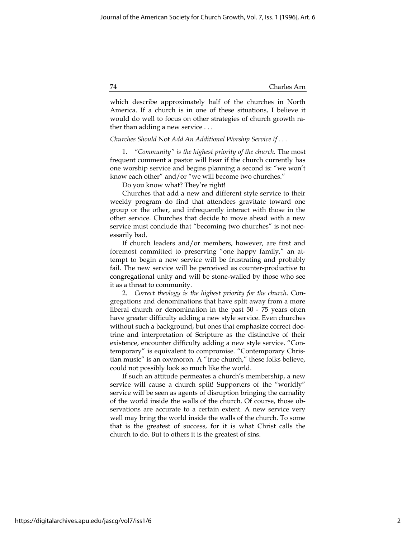which describe approximately half of the churches in North America. If a church is in one of these situations, I believe it would do well to focus on other strategies of church growth rather than adding a new service . . .

#### Churches Should Not Add An Additional Worship Service If . . .

1. "Community" is the highest priority of the church. The most frequent comment a pastor will hear if the church currently has one worship service and begins planning a second is: "we won't know each other" and/or "we will become two churches."

Do you know what? They're right!

Churches that add a new and different style service to their weekly program do find that attendees gravitate toward one group or the other, and infrequently interact with those in the other service. Churches that decide to move ahead with a new service must conclude that "becoming two churches" is not necessarily bad.

If church leaders and/or members, however, are first and foremost committed to preserving "one happy family," an attempt to begin a new service will be frustrating and probably fail. The new service will be perceived as counter-productive to congregational unity and will be stone-walled by those who see it as a threat to community.

2. Correct theology is the highest priority for the church. Congregations and denominations that have split away from a more liberal church or denomination in the past 50 - 75 years often have greater difficulty adding a new style service. Even churches without such a background, but ones that emphasize correct doctrine and interpretation of Scripture as the distinctive of their existence, encounter difficulty adding a new style service. "Contemporary" is equivalent to compromise. "Contemporary Christian music" is an oxymoron. A "true church," these folks believe, could not possibly look so much like the world.

If such an attitude permeates a church's membership, a new service will cause a church split! Supporters of the "worldly" service will be seen as agents of disruption bringing the carnality of the world inside the walls of the church. Of course, those observations are accurate to a certain extent. A new service very well may bring the world inside the walls of the church. To some that is the greatest of success, for it is what Christ calls the church to do. But to others it is the greatest of sins.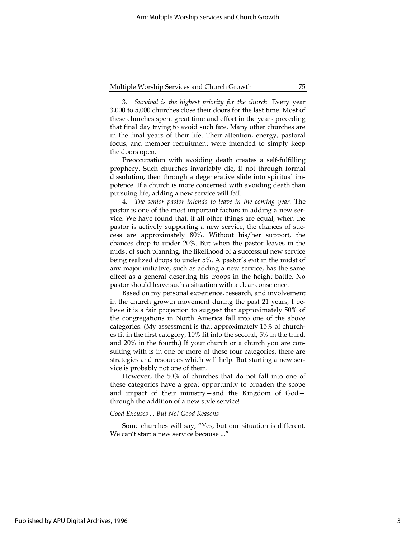3. Survival is the highest priority for the church. Every year 3,000 to 5,000 churches close their doors for the last time. Most of these churches spent great time and effort in the years preceding that final day trying to avoid such fate. Many other churches are in the final years of their life. Their attention, energy, pastoral focus, and member recruitment were intended to simply keep the doors open.

Preoccupation with avoiding death creates a self-fulfilling prophecy. Such churches invariably die, if not through formal dissolution, then through a degenerative slide into spiritual impotence. If a church is more concerned with avoiding death than pursuing life, adding a new service will fail.

4. The senior pastor intends to leave in the coming year. The pastor is one of the most important factors in adding a new service. We have found that, if all other things are equal, when the pastor is actively supporting a new service, the chances of success are approximately 80%. Without his/her support, the chances drop to under 20%. But when the pastor leaves in the midst of such planning, the likelihood of a successful new service being realized drops to under 5%. A pastor's exit in the midst of any major initiative, such as adding a new service, has the same effect as a general deserting his troops in the height battle. No pastor should leave such a situation with a clear conscience.

Based on my personal experience, research, and involvement in the church growth movement during the past 21 years, I believe it is a fair projection to suggest that approximately 50% of the congregations in North America fall into one of the above categories. (My assessment is that approximately 15% of churches fit in the first category, 10% fit into the second, 5% in the third, and 20% in the fourth.) If your church or a church you are consulting with is in one or more of these four categories, there are strategies and resources which will help. But starting a new service is probably not one of them.

However, the 50% of churches that do not fall into one of these categories have a great opportunity to broaden the scope and impact of their ministry—and the Kingdom of God through the addition of a new style service!

#### Good Excuses ... But Not Good Reasons

Some churches will say, "Yes, but our situation is different. We can't start a new service because ..."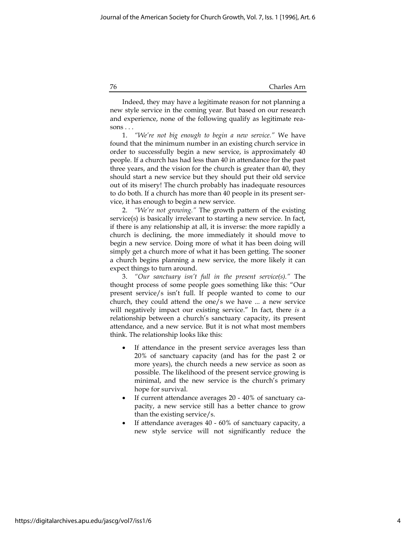Indeed, they may have a legitimate reason for not planning a new style service in the coming year. But based on our research and experience, none of the following qualify as legitimate reasons . . .

1. "We're not big enough to begin a new service." We have found that the minimum number in an existing church service in order to successfully begin a new service, is approximately 40 people. If a church has had less than 40 in attendance for the past three years, and the vision for the church is greater than 40, they should start a new service but they should put their old service out of its misery! The church probably has inadequate resources to do both. If a church has more than 40 people in its present service, it has enough to begin a new service.

2. "We're not growing." The growth pattern of the existing service(s) is basically irrelevant to starting a new service. In fact, if there is any relationship at all, it is inverse: the more rapidly a church is declining, the more immediately it should move to begin a new service. Doing more of what it has been doing will simply get a church more of what it has been getting. The sooner a church begins planning a new service, the more likely it can expect things to turn around.

3. "Our sanctuary isn't full in the present service(s)." The thought process of some people goes something like this: "Our present service/s isn't full. If people wanted to come to our church, they could attend the one/s we have ... a new service will negatively impact our existing service." In fact, there is a relationship between a church's sanctuary capacity, its present attendance, and a new service. But it is not what most members think. The relationship looks like this:

- If attendance in the present service averages less than 20% of sanctuary capacity (and has for the past 2 or more years), the church needs a new service as soon as possible. The likelihood of the present service growing is minimal, and the new service is the church's primary hope for survival.
- If current attendance averages 20 40% of sanctuary capacity, a new service still has a better chance to grow than the existing service/s.
- If attendance averages 40 60% of sanctuary capacity, a new style service will not significantly reduce the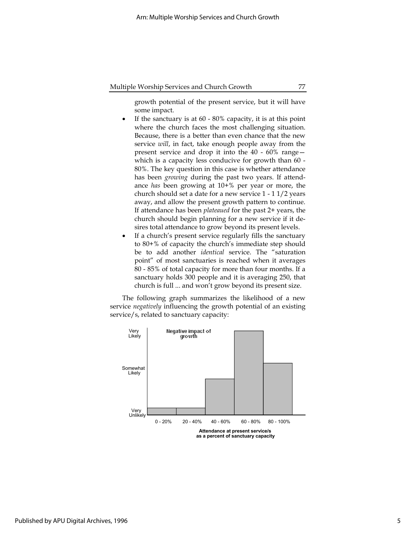growth potential of the present service, but it will have some impact.

- If the sanctuary is at 60 80% capacity, it is at this point where the church faces the most challenging situation. Because, there is a better than even chance that the new service will, in fact, take enough people away from the present service and drop it into the 40 - 60% range which is a capacity less conducive for growth than 60 - 80%. The key question in this case is whether attendance has been *growing* during the past two years. If attendance has been growing at 10+% per year or more, the church should set a date for a new service 1 - 1 1/2 years away, and allow the present growth pattern to continue. If attendance has been plateaued for the past 2+ years, the church should begin planning for a new service if it desires total attendance to grow beyond its present levels.
- If a church's present service regularly fills the sanctuary to 80+% of capacity the church's immediate step should be to add another identical service. The "saturation point" of most sanctuaries is reached when it averages 80 - 85% of total capacity for more than four months. If a sanctuary holds 300 people and it is averaging 250, that church is full ... and won't grow beyond its present size.

The following graph summarizes the likelihood of a new service *negatively* influencing the growth potential of an existing service/s, related to sanctuary capacity:



Published by APU Digital Archives, 1996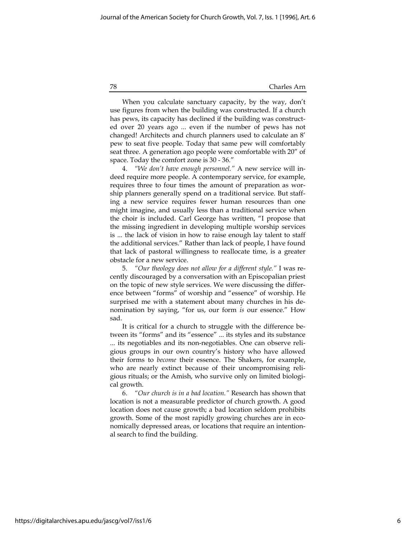When you calculate sanctuary capacity, by the way, don't use figures from when the building was constructed. If a church has pews, its capacity has declined if the building was constructed over 20 years ago ... even if the number of pews has not changed! Architects and church planners used to calculate an 8' pew to seat five people. Today that same pew will comfortably seat three. A generation ago people were comfortable with 20" of space. Today the comfort zone is 30 - 36."

4. "We don't have enough personnel." A new service will indeed require more people. A contemporary service, for example, requires three to four times the amount of preparation as worship planners generally spend on a traditional service. But staffing a new service requires fewer human resources than one might imagine, and usually less than a traditional service when the choir is included. Carl George has written, "I propose that the missing ingredient in developing multiple worship services is ... the lack of vision in how to raise enough lay talent to staff the additional services." Rather than lack of people, I have found that lack of pastoral willingness to reallocate time, is a greater obstacle for a new service.

5. "Our theology does not allow for a different style." I was recently discouraged by a conversation with an Episcopalian priest on the topic of new style services. We were discussing the difference between "forms" of worship and "essence" of worship. He surprised me with a statement about many churches in his denomination by saying, "for us, our form is our essence." How sad.

It is critical for a church to struggle with the difference between its "forms" and its "essence" ... its styles and its substance ... its negotiables and its non-negotiables. One can observe religious groups in our own country's history who have allowed their forms to become their essence. The Shakers, for example, who are nearly extinct because of their uncompromising religious rituals; or the Amish, who survive only on limited biological growth.

6. "Our church is in a bad location." Research has shown that location is not a measurable predictor of church growth. A good location does not cause growth; a bad location seldom prohibits growth. Some of the most rapidly growing churches are in economically depressed areas, or locations that require an intentional search to find the building.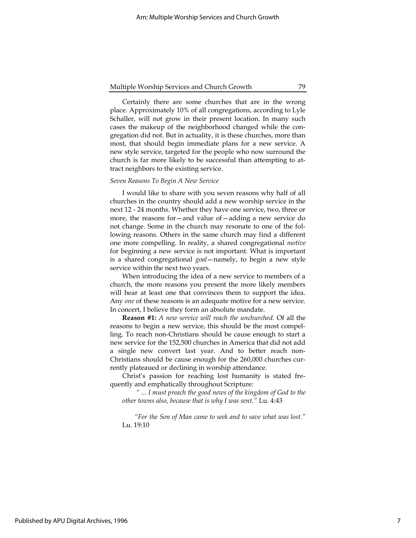Certainly there are some churches that are in the wrong place. Approximately 10% of all congregations, according to Lyle Schaller, will not grow in their present location. In many such cases the makeup of the neighborhood changed while the congregation did not. But in actuality, it is these churches, more than most, that should begin immediate plans for a new service. A new style service, targeted for the people who now surround the church is far more likely to be successful than attempting to attract neighbors to the existing service.

#### Seven Reasons To Begin A New Service

I would like to share with you seven reasons why half of all churches in the country should add a new worship service in the next 12 - 24 months. Whether they have one service, two, three or more, the reasons for—and value of—adding a new service do not change. Some in the church may resonate to one of the following reasons. Others in the same church may find a different one more compelling. In reality, a shared congregational motive for beginning a new service is not important. What is important is a shared congregational goal—namely, to begin a new style service within the next two years.

When introducing the idea of a new service to members of a church, the more reasons you present the more likely members will hear at least one that convinces them to support the idea. Any one of these reasons is an adequate motive for a new service. In concert, I believe they form an absolute mandate.

Reason #1: A new service will reach the unchurched. Of all the reasons to begin a new service, this should be the most compelling. To reach non-Christians should be cause enough to start a new service for the 152,500 churches in America that did not add a single new convert last year. And to better reach non-Christians should be cause enough for the 260,000 churches currently plateaued or declining in worship attendance.

Christ's passion for reaching lost humanity is stated frequently and emphatically throughout Scripture:

 " ... I must preach the good news of the kingdom of God to the other towns also, because that is why I was sent." Lu. 4:43

"For the Son of Man came to seek and to save what was lost." Lu. 19:10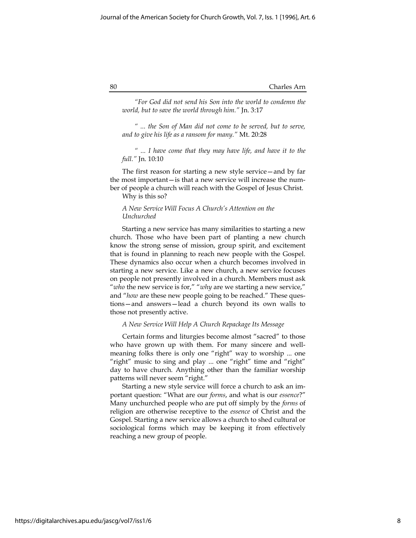"For God did not send his Son into the world to condemn the world, but to save the world through him." Jn. 3:17

" ... the Son of Man did not come to be served, but to serve, and to give his life as a ransom for many." Mt. 20:28

" ... I have come that they may have life, and have it to the full." Jn. 10:10

The first reason for starting a new style service—and by far the most important—is that a new service will increase the number of people a church will reach with the Gospel of Jesus Christ.

Why is this so?

#### A New Service Will Focus A Church's Attention on the Unchurched

Starting a new service has many similarities to starting a new church. Those who have been part of planting a new church know the strong sense of mission, group spirit, and excitement that is found in planning to reach new people with the Gospel. These dynamics also occur when a church becomes involved in starting a new service. Like a new church, a new service focuses on people not presently involved in a church. Members must ask "who the new service is for," "why are we starting a new service," and "how are these new people going to be reached." These questions—and answers—lead a church beyond its own walls to those not presently active.

A New Service Will Help A Church Repackage Its Message

Certain forms and liturgies become almost "sacred" to those who have grown up with them. For many sincere and wellmeaning folks there is only one "right" way to worship ... one "right" music to sing and play ... one "right" time and "right" day to have church. Anything other than the familiar worship patterns will never seem "right."

Starting a new style service will force a church to ask an important question: "What are our forms, and what is our essence?" Many unchurched people who are put off simply by the forms of religion are otherwise receptive to the essence of Christ and the Gospel. Starting a new service allows a church to shed cultural or sociological forms which may be keeping it from effectively reaching a new group of people.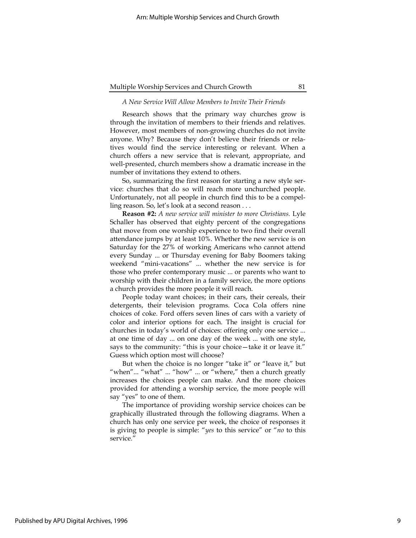#### A New Service Will Allow Members to Invite Their Friends

Research shows that the primary way churches grow is through the invitation of members to their friends and relatives. However, most members of non-growing churches do not invite anyone. Why? Because they don't believe their friends or relatives would find the service interesting or relevant. When a church offers a new service that is relevant, appropriate, and well-presented, church members show a dramatic increase in the number of invitations they extend to others.

So, summarizing the first reason for starting a new style service: churches that do so will reach more unchurched people. Unfortunately, not all people in church find this to be a compelling reason. So, let's look at a second reason . . .

Reason #2: A new service will minister to more Christians. Lyle Schaller has observed that eighty percent of the congregations that move from one worship experience to two find their overall attendance jumps by at least 10%. Whether the new service is on Saturday for the 27% of working Americans who cannot attend every Sunday ... or Thursday evening for Baby Boomers taking weekend "mini-vacations" ... whether the new service is for those who prefer contemporary music ... or parents who want to worship with their children in a family service, the more options a church provides the more people it will reach.

People today want choices; in their cars, their cereals, their detergents, their television programs. Coca Cola offers nine choices of coke. Ford offers seven lines of cars with a variety of color and interior options for each. The insight is crucial for churches in today's world of choices: offering only one service ... at one time of day ... on one day of the week ... with one style, says to the community: "this is your choice—take it or leave it." Guess which option most will choose?

But when the choice is no longer "take it" or "leave it," but "when"... "what" ... "how" ... or "where," then a church greatly increases the choices people can make. And the more choices provided for attending a worship service, the more people will say "yes" to one of them.

The importance of providing worship service choices can be graphically illustrated through the following diagrams. When a church has only one service per week, the choice of responses it is giving to people is simple: "yes to this service" or "no to this service."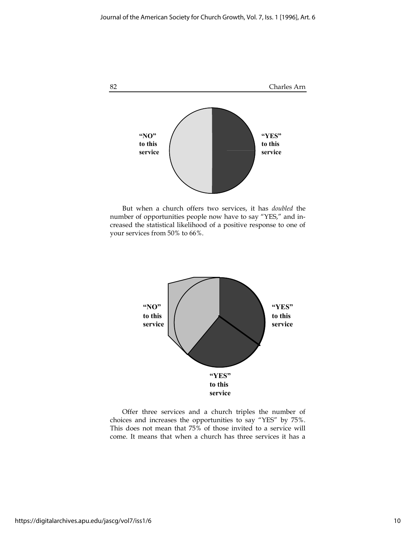

But when a church offers two services, it has doubled the number of opportunities people now have to say "YES," and increased the statistical likelihood of a positive response to one of your services from 50% to 66%.



Offer three services and a church triples the number of choices and increases the opportunities to say "YES" by 75%. This does not mean that 75% of those invited to a service will come. It means that when a church has three services it has a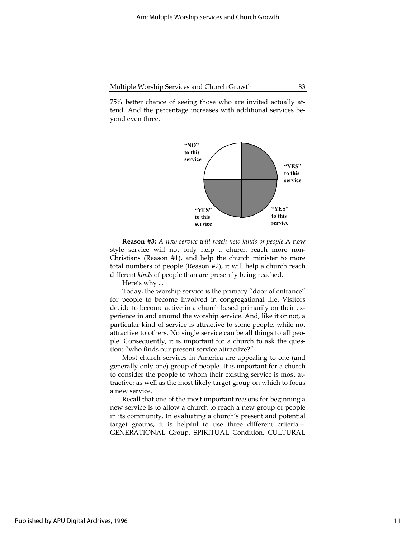75% better chance of seeing those who are invited actually attend. And the percentage increases with additional services beyond even three.



**Reason #3:** A new service will reach new kinds of people. A new style service will not only help a church reach more non-Christians (Reason #1), and help the church minister to more total numbers of people (Reason #2), it will help a church reach different kinds of people than are presently being reached.

Here's why ...

Today, the worship service is the primary "door of entrance" for people to become involved in congregational life. Visitors decide to become active in a church based primarily on their experience in and around the worship service. And, like it or not, a particular kind of service is attractive to some people, while not attractive to others. No single service can be all things to all people. Consequently, it is important for a church to ask the question: "who finds our present service attractive?"

Most church services in America are appealing to one (and generally only one) group of people. It is important for a church to consider the people to whom their existing service is most attractive; as well as the most likely target group on which to focus a new service.

Recall that one of the most important reasons for beginning a new service is to allow a church to reach a new group of people in its community. In evaluating a church's present and potential target groups, it is helpful to use three different criteria— GENERATIONAL Group, SPIRITUAL Condition, CULTURAL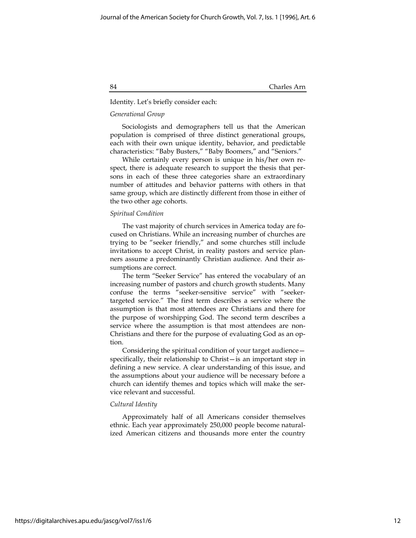#### Identity. Let's briefly consider each:

#### Generational Group

Sociologists and demographers tell us that the American population is comprised of three distinct generational groups, each with their own unique identity, behavior, and predictable characteristics: "Baby Busters," "Baby Boomers," and "Seniors."

While certainly every person is unique in his/her own respect, there is adequate research to support the thesis that persons in each of these three categories share an extraordinary number of attitudes and behavior patterns with others in that same group, which are distinctly different from those in either of the two other age cohorts.

#### Spiritual Condition

The vast majority of church services in America today are focused on Christians. While an increasing number of churches are trying to be "seeker friendly," and some churches still include invitations to accept Christ, in reality pastors and service planners assume a predominantly Christian audience. And their assumptions are correct.

The term "Seeker Service" has entered the vocabulary of an increasing number of pastors and church growth students. Many confuse the terms "seeker-sensitive service" with "seekertargeted service." The first term describes a service where the assumption is that most attendees are Christians and there for the purpose of worshipping God. The second term describes a service where the assumption is that most attendees are non-Christians and there for the purpose of evaluating God as an option.

Considering the spiritual condition of your target audience specifically, their relationship to Christ—is an important step in defining a new service. A clear understanding of this issue, and the assumptions about your audience will be necessary before a church can identify themes and topics which will make the service relevant and successful.

#### Cultural Identity

Approximately half of all Americans consider themselves ethnic. Each year approximately 250,000 people become naturalized American citizens and thousands more enter the country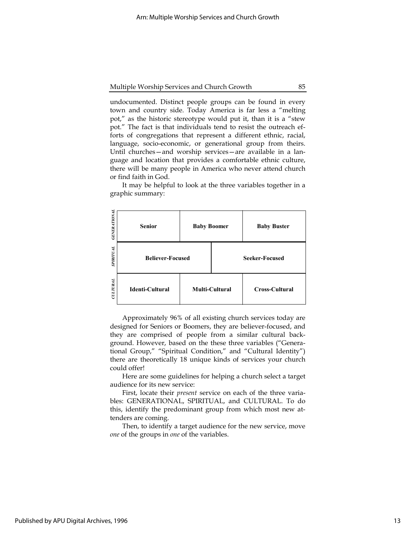undocumented. Distinct people groups can be found in every town and country side. Today America is far less a "melting pot," as the historic stereotype would put it, than it is a "stew pot." The fact is that individuals tend to resist the outreach efforts of congregations that represent a different ethnic, racial, language, socio-economic, or generational group from theirs. Until churches—and worship services—are available in a language and location that provides a comfortable ethnic culture, there will be many people in America who never attend church or find faith in God.

It may be helpful to look at the three variables together in a graphic summary:

| <b>GENERATIONAL</b> | <b>Senior</b>           | <b>Baby Boomer</b>    |                       | <b>Baby Buster</b>    |
|---------------------|-------------------------|-----------------------|-----------------------|-----------------------|
| <b>SPIRITUAL</b>    | <b>Believer-Focused</b> |                       | <b>Seeker-Focused</b> |                       |
| CUITURAL            | Identi-Cultural         | <b>Multi-Cultural</b> |                       | <b>Cross-Cultural</b> |

Approximately 96% of all existing church services today are designed for Seniors or Boomers, they are believer-focused, and they are comprised of people from a similar cultural background. However, based on the these three variables ("Generational Group," "Spiritual Condition," and "Cultural Identity") there are theoretically 18 unique kinds of services your church could offer!

Here are some guidelines for helping a church select a target audience for its new service:

First, locate their *present* service on each of the three variables: GENERATIONAL, SPIRITUAL, and CULTURAL. To do this, identify the predominant group from which most new attenders are coming.

Then, to identify a target audience for the new service, move one of the groups in one of the variables.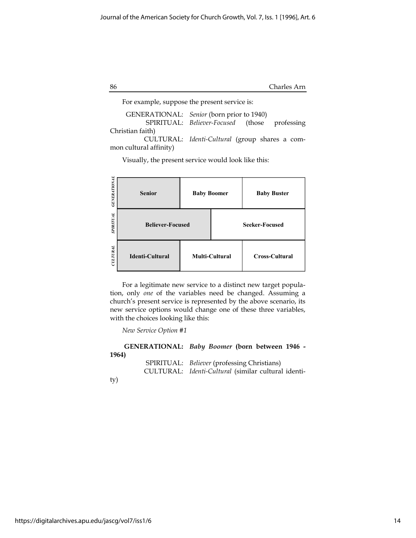| 86 | Charles Arn |
|----|-------------|
|    |             |

For example, suppose the present service is:

| GENERATIONAL: Senior (born prior to 1940) |                                                |  |
|-------------------------------------------|------------------------------------------------|--|
|                                           | SPIRITUAL: Believer-Focused (those professing  |  |
| Christian faith)                          |                                                |  |
|                                           | CULTURAL: Identi-Cultural (group shares a com- |  |

mon cultural affinity)

Visually, the present service would look like this:

| <b>GENERATIONAL</b> | <b>Senior</b>           | <b>Baby Boomer</b> | <b>Baby Buster</b>    |  |
|---------------------|-------------------------|--------------------|-----------------------|--|
| <b>SPIRITUAL</b>    | <b>Believer-Focused</b> |                    | <b>Seeker-Focused</b> |  |
| UITUML              | <b>Identi-Cultural</b>  | Multi-Cultural     | <b>Cross-Cultural</b> |  |

For a legitimate new service to a distinct new target population, only one of the variables need be changed. Assuming a church's present service is represented by the above scenario, its new service options would change one of these three variables, with the choices looking like this:

New Service Option #1

|       | GENERATIONAL: Baby Boomer (born between 1946 -      |
|-------|-----------------------------------------------------|
| 1964) |                                                     |
|       | SPIRITUAL: Believer (professing Christians)         |
|       | CULTURAL: Identi-Cultural (similar cultural identi- |

ty)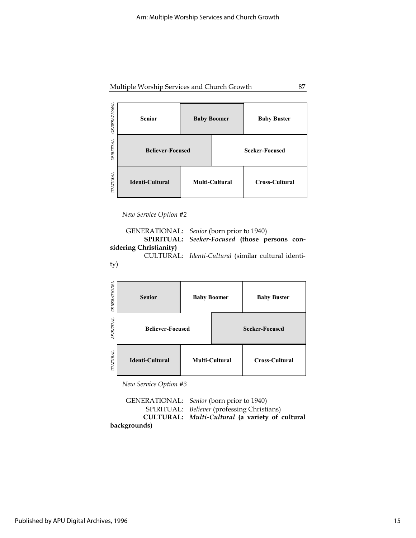Multiple Worship Services and Church Growth 87

| <b>GENERATIONAL</b> | <b>Senior</b>           | <b>Baby Boomer</b> |                       | <b>Baby Buster</b>    |
|---------------------|-------------------------|--------------------|-----------------------|-----------------------|
| SPIRITUAL           | <b>Believer-Focused</b> |                    | <b>Seeker-Focused</b> |                       |
| TULITURAL           | <b>Identi-Cultural</b>  | Multi-Cultural     |                       | <b>Cross-Cultural</b> |

New Service Option #2



| <b>GE NERATIONAL</b> | <b>Senior</b>           | <b>Baby Boomer</b>    |                       | <b>Baby Buster</b> |
|----------------------|-------------------------|-----------------------|-----------------------|--------------------|
| PIRITUAL<br>v.       | <b>Believer-Focused</b> |                       | <b>Seeker-Focused</b> |                    |
| CULTURAL             | <b>Identi-Cultural</b>  | <b>Multi-Cultural</b> |                       | Cross-Cultural     |

New Service Option #3

 GENERATIONAL: Senior (born prior to 1940) SPIRITUAL: Believer (professing Christians) CULTURAL: Multi-Cultural (a variety of cultural backgrounds)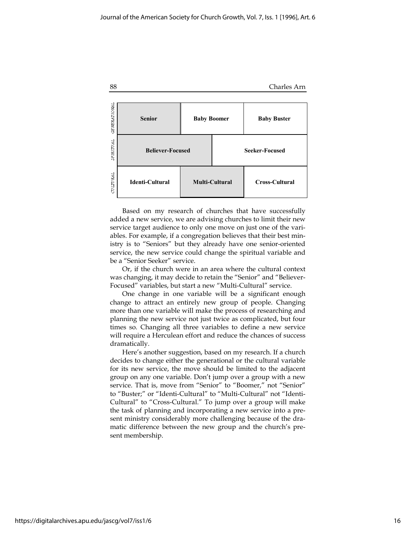

Based on my research of churches that have successfully added a new service, we are advising churches to limit their new service target audience to only one move on just one of the variables. For example, if a congregation believes that their best ministry is to "Seniors" but they already have one senior-oriented service, the new service could change the spiritual variable and be a "Senior Seeker" service.

Or, if the church were in an area where the cultural context was changing, it may decide to retain the "Senior" and "Believer-Focused" variables, but start a new "Multi-Cultural" service.

One change in one variable will be a significant enough change to attract an entirely new group of people. Changing more than one variable will make the process of researching and planning the new service not just twice as complicated, but four times so. Changing all three variables to define a new service will require a Herculean effort and reduce the chances of success dramatically.

Here's another suggestion, based on my research. If a church decides to change either the generational or the cultural variable for its new service, the move should be limited to the adjacent group on any one variable. Don't jump over a group with a new service. That is, move from "Senior" to "Boomer," not "Senior" to "Buster;" or "Identi-Cultural" to "Multi-Cultural" not "Identi-Cultural" to "Cross-Cultural." To jump over a group will make the task of planning and incorporating a new service into a present ministry considerably more challenging because of the dramatic difference between the new group and the church's present membership.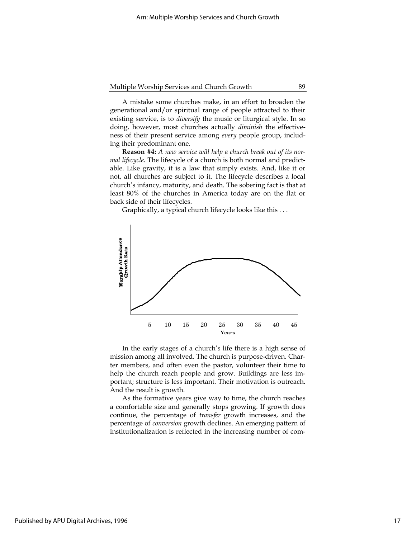A mistake some churches make, in an effort to broaden the generational and/or spiritual range of people attracted to their existing service, is to diversify the music or liturgical style. In so doing, however, most churches actually *diminish* the effectiveness of their present service among every people group, including their predominant one.

**Reason #4:** A new service will help a church break out of its normal lifecycle. The lifecycle of a church is both normal and predictable. Like gravity, it is a law that simply exists. And, like it or not, all churches are subject to it. The lifecycle describes a local church's infancy, maturity, and death. The sobering fact is that at least 80% of the churches in America today are on the flat or back side of their lifecycles.

Graphically, a typical church lifecycle looks like this . . .



In the early stages of a church's life there is a high sense of mission among all involved. The church is purpose-driven. Charter members, and often even the pastor, volunteer their time to help the church reach people and grow. Buildings are less important; structure is less important. Their motivation is outreach. And the result is growth.

As the formative years give way to time, the church reaches a comfortable size and generally stops growing. If growth does continue, the percentage of transfer growth increases, and the percentage of conversion growth declines. An emerging pattern of institutionalization is reflected in the increasing number of com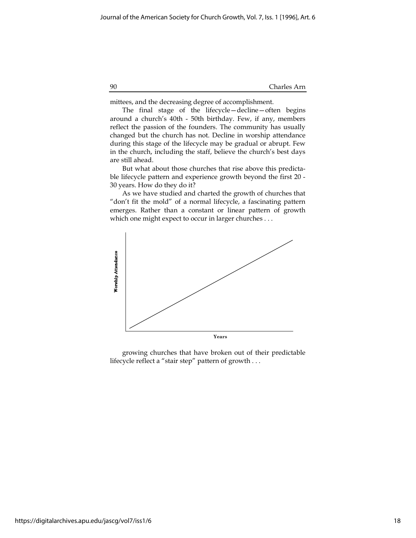mittees, and the decreasing degree of accomplishment.

The final stage of the lifecycle—decline—often begins around a church's 40th - 50th birthday. Few, if any, members reflect the passion of the founders. The community has usually changed but the church has not. Decline in worship attendance during this stage of the lifecycle may be gradual or abrupt. Few in the church, including the staff, believe the church's best days are still ahead.

But what about those churches that rise above this predictable lifecycle pattern and experience growth beyond the first 20 - 30 years. How do they do it?

As we have studied and charted the growth of churches that "don't fit the mold" of a normal lifecycle, a fascinating pattern emerges. Rather than a constant or linear pattern of growth which one might expect to occur in larger churches . . .



growing churches that have broken out of their predictable lifecycle reflect a "stair step" pattern of growth . . .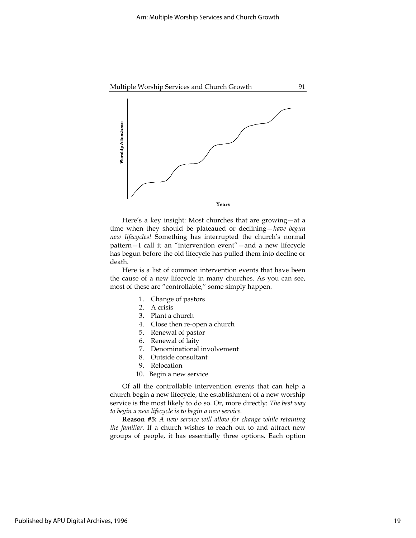

Here's a key insight: Most churches that are growing—at a time when they should be plateaued or declining—have begun new lifecycles! Something has interrupted the church's normal pattern—I call it an "intervention event"—and a new lifecycle has begun before the old lifecycle has pulled them into decline or death.

Here is a list of common intervention events that have been the cause of a new lifecycle in many churches. As you can see, most of these are "controllable," some simply happen.

- 1. Change of pastors
- 2. A crisis
- 3. Plant a church
- 4. Close then re-open a church
- 5. Renewal of pastor
- 6. Renewal of laity
- 7. Denominational involvement
- 8. Outside consultant
- 9. Relocation
- 10. Begin a new service

Of all the controllable intervention events that can help a church begin a new lifecycle, the establishment of a new worship service is the most likely to do so. Or, more directly: The best way to begin a new lifecycle is to begin a new service.

Reason #5: A new service will allow for change while retaining the familiar. If a church wishes to reach out to and attract new groups of people, it has essentially three options. Each option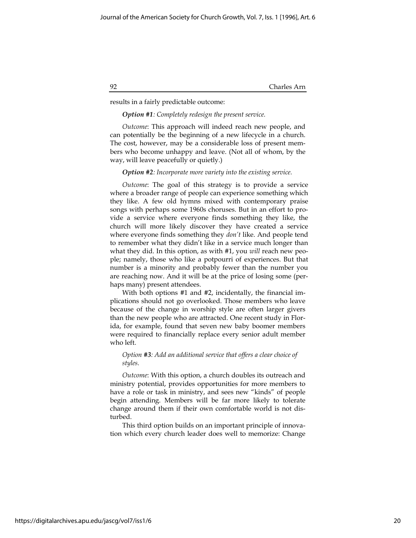results in a fairly predictable outcome:

#### **Option #1:** Completely redesign the present service.

Outcome: This approach will indeed reach new people, and can potentially be the beginning of a new lifecycle in a church. The cost, however, may be a considerable loss of present members who become unhappy and leave. (Not all of whom, by the way, will leave peacefully or quietly.)

#### **Option #2:** Incorporate more variety into the existing service.

Outcome: The goal of this strategy is to provide a service where a broader range of people can experience something which they like. A few old hymns mixed with contemporary praise songs with perhaps some 1960s choruses. But in an effort to provide a service where everyone finds something they like, the church will more likely discover they have created a service where everyone finds something they *don't* like. And people tend to remember what they didn't like in a service much longer than what they did. In this option, as with #1, you will reach new people; namely, those who like a potpourri of experiences. But that number is a minority and probably fewer than the number you are reaching now. And it will be at the price of losing some (perhaps many) present attendees.

With both options #1 and #2, incidentally, the financial implications should not go overlooked. Those members who leave because of the change in worship style are often larger givers than the new people who are attracted. One recent study in Florida, for example, found that seven new baby boomer members were required to financially replace every senior adult member who left.

#### Option #3: Add an additional service that offers a clear choice of styles.

Outcome: With this option, a church doubles its outreach and ministry potential, provides opportunities for more members to have a role or task in ministry, and sees new "kinds" of people begin attending. Members will be far more likely to tolerate change around them if their own comfortable world is not disturbed.

This third option builds on an important principle of innovation which every church leader does well to memorize: Change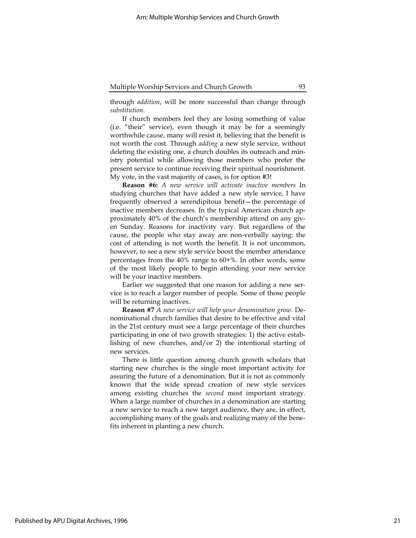through addition, will be more successful than change through substitution.

If church members feel they are losing something of value (i.e. "their" service), even though it may be for a seemingly worthwhile cause, many will resist it, believing that the benefit is not worth the cost. Through adding a new style service, without deleting the existing one, a church doubles its outreach and ministry potential while allowing those members who prefer the present service to continue receiving their spiritual nourishment. My vote, in the vast majority of cases, is for option #3!

Reason #6: A new service will activate inactive members In studying churches that have added a new style service, I have frequently observed a serendipitous benefit—the percentage of inactive members decreases. In the typical American church approximately 40% of the church's membership attend on any given Sunday. Reasons for inactivity vary. But regardless of the cause, the people who stay away are non-verbally saying: the cost of attending is not worth the benefit. It is not uncommon, however, to see a new style service boost the member attendance percentages from the 40% range to 60+%. In other words, some of the most likely people to begin attending your new service will be your inactive members.

Earlier we suggested that one reason for adding a new service is to reach a larger number of people. Some of those people will be returning inactives.

Reason #7 A new service will help your denomination grow. Denominational church families that desire to be effective and vital in the 21st century must see a large percentage of their churches participating in one of two growth strategies: 1) the active establishing of new churches, and/or 2) the intentional starting of new services.

There is little question among church growth scholars that starting new churches is the single most important activity for assuring the future of a denomination. But it is not as commonly known that the wide spread creation of new style services among existing churches the second most important strategy. When a large number of churches in a denomination are starting a new service to reach a new target audience, they are, in effect, accomplishing many of the goals and realizing many of the benefits inherent in planting a new church.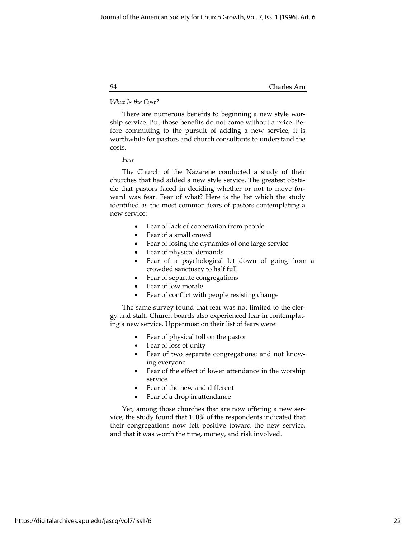#### What Is the Cost?

There are numerous benefits to beginning a new style worship service. But those benefits do not come without a price. Before committing to the pursuit of adding a new service, it is worthwhile for pastors and church consultants to understand the costs.

Fear

The Church of the Nazarene conducted a study of their churches that had added a new style service. The greatest obstacle that pastors faced in deciding whether or not to move forward was fear. Fear of what? Here is the list which the study identified as the most common fears of pastors contemplating a new service:

- Fear of lack of cooperation from people
- Fear of a small crowd
- Fear of losing the dynamics of one large service
- Fear of physical demands
- Fear of a psychological let down of going from a crowded sanctuary to half full
- Fear of separate congregations
- Fear of low morale
- Fear of conflict with people resisting change

The same survey found that fear was not limited to the clergy and staff. Church boards also experienced fear in contemplating a new service. Uppermost on their list of fears were:

- Fear of physical toll on the pastor
- Fear of loss of unity
- Fear of two separate congregations; and not knowing everyone
- Fear of the effect of lower attendance in the worship service
- Fear of the new and different
- Fear of a drop in attendance

Yet, among those churches that are now offering a new service, the study found that 100% of the respondents indicated that their congregations now felt positive toward the new service, and that it was worth the time, money, and risk involved.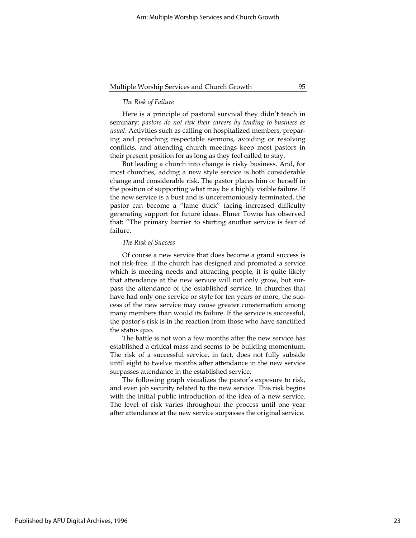#### The Risk of Failure

Here is a principle of pastoral survival they didn't teach in seminary: pastors do not risk their careers by tending to business as usual. Activities such as calling on hospitalized members, preparing and preaching respectable sermons, avoiding or resolving conflicts, and attending church meetings keep most pastors in their present position for as long as they feel called to stay.

But leading a church into change is risky business. And, for most churches, adding a new style service is both considerable change and considerable risk. The pastor places him or herself in the position of supporting what may be a highly visible failure. If the new service is a bust and is unceremoniously terminated, the pastor can become a "lame duck" facing increased difficulty generating support for future ideas. Elmer Towns has observed that: "The primary barrier to starting another service is fear of failure.

#### The Risk of Success

Of course a new service that does become a grand success is not risk-free. If the church has designed and promoted a service which is meeting needs and attracting people, it is quite likely that attendance at the new service will not only grow, but surpass the attendance of the established service. In churches that have had only one service or style for ten years or more, the success of the new service may cause greater consternation among many members than would its failure. If the service is successful, the pastor's risk is in the reaction from those who have sanctified the status quo.

The battle is not won a few months after the new service has established a critical mass and seems to be building momentum. The risk of a successful service, in fact, does not fully subside until eight to twelve months after attendance in the new service surpasses attendance in the established service.

The following graph visualizes the pastor's exposure to risk, and even job security related to the new service. This risk begins with the initial public introduction of the idea of a new service. The level of risk varies throughout the process until one year after attendance at the new service surpasses the original service.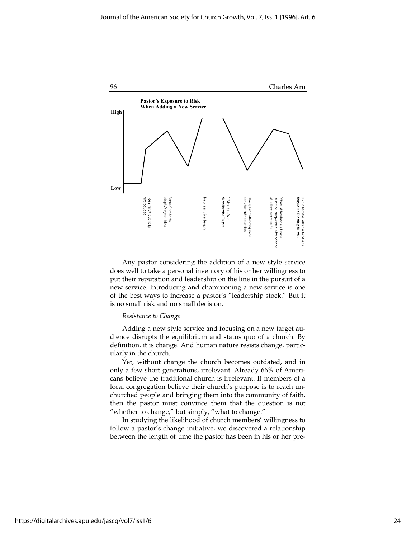

Any pastor considering the addition of a new style service does well to take a personal inventory of his or her willingness to put their reputation and leadership on the line in the pursuit of a new service. Introducing and championing a new service is one of the best ways to increase a pastor's "leadership stock." But it is no small risk and no small decision.

#### Resistance to Change

Adding a new style service and focusing on a new target audience disrupts the equilibrium and status quo of a church. By definition, it is change. And human nature resists change, particularly in the church.

Yet, without change the church becomes outdated, and in only a few short generations, irrelevant. Already 66% of Americans believe the traditional church is irrelevant. If members of a local congregation believe their church's purpose is to reach unchurched people and bringing them into the community of faith, then the pastor must convince them that the question is not "whether to change," but simply, "what to change."

In studying the likelihood of church members' willingness to follow a pastor's change initiative, we discovered a relationship between the length of time the pastor has been in his or her pre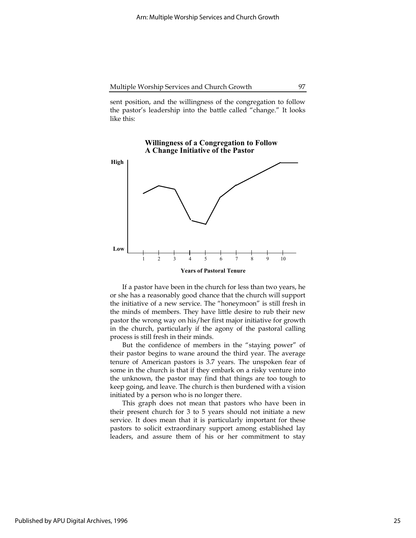sent position, and the willingness of the congregation to follow the pastor's leadership into the battle called "change." It looks like this:

Willingness of a Congregation to Follow

# A Change Initiative of the Pastor High Low Years of Pastoral Tenure 1 2 3 4 5 6 7 8 9 10

If a pastor have been in the church for less than two years, he or she has a reasonably good chance that the church will support the initiative of a new service. The "honeymoon" is still fresh in the minds of members. They have little desire to rub their new pastor the wrong way on his/her first major initiative for growth in the church, particularly if the agony of the pastoral calling process is still fresh in their minds.

But the confidence of members in the "staying power" of their pastor begins to wane around the third year. The average tenure of American pastors is 3.7 years. The unspoken fear of some in the church is that if they embark on a risky venture into the unknown, the pastor may find that things are too tough to keep going, and leave. The church is then burdened with a vision initiated by a person who is no longer there.

This graph does not mean that pastors who have been in their present church for 3 to 5 years should not initiate a new service. It does mean that it is particularly important for these pastors to solicit extraordinary support among established lay leaders, and assure them of his or her commitment to stay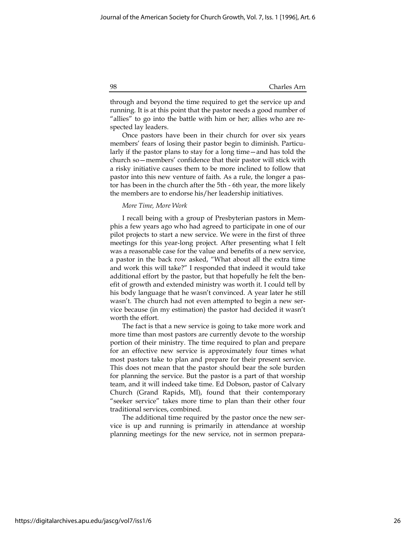through and beyond the time required to get the service up and running. It is at this point that the pastor needs a good number of "allies" to go into the battle with him or her; allies who are respected lay leaders.

Once pastors have been in their church for over six years members' fears of losing their pastor begin to diminish. Particularly if the pastor plans to stay for a long time—and has told the church so—members' confidence that their pastor will stick with a risky initiative causes them to be more inclined to follow that pastor into this new venture of faith. As a rule, the longer a pastor has been in the church after the 5th - 6th year, the more likely the members are to endorse his/her leadership initiatives.

#### More Time, More Work

I recall being with a group of Presbyterian pastors in Memphis a few years ago who had agreed to participate in one of our pilot projects to start a new service. We were in the first of three meetings for this year-long project. After presenting what I felt was a reasonable case for the value and benefits of a new service, a pastor in the back row asked, "What about all the extra time and work this will take?" I responded that indeed it would take additional effort by the pastor, but that hopefully he felt the benefit of growth and extended ministry was worth it. I could tell by his body language that he wasn't convinced. A year later he still wasn't. The church had not even attempted to begin a new service because (in my estimation) the pastor had decided it wasn't worth the effort.

The fact is that a new service is going to take more work and more time than most pastors are currently devote to the worship portion of their ministry. The time required to plan and prepare for an effective new service is approximately four times what most pastors take to plan and prepare for their present service. This does not mean that the pastor should bear the sole burden for planning the service. But the pastor is a part of that worship team, and it will indeed take time. Ed Dobson, pastor of Calvary Church (Grand Rapids, MI), found that their contemporary "seeker service" takes more time to plan than their other four traditional services, combined.

The additional time required by the pastor once the new service is up and running is primarily in attendance at worship planning meetings for the new service, not in sermon prepara-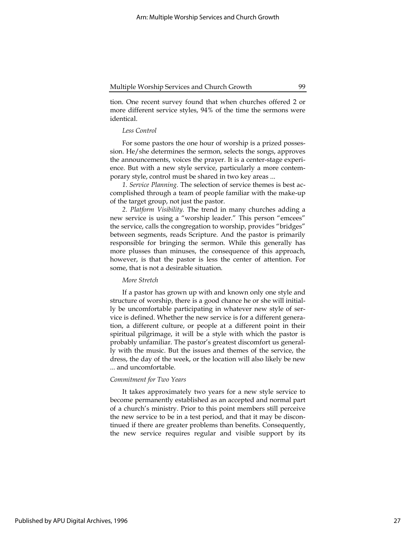tion. One recent survey found that when churches offered 2 or more different service styles, 94% of the time the sermons were identical.

#### Less Control

For some pastors the one hour of worship is a prized possession. He/she determines the sermon, selects the songs, approves the announcements, voices the prayer. It is a center-stage experience. But with a new style service, particularly a more contemporary style, control must be shared in two key areas ...

1. Service Planning. The selection of service themes is best accomplished through a team of people familiar with the make-up of the target group, not just the pastor.

2. Platform Visibility. The trend in many churches adding a new service is using a "worship leader." This person "emcees" the service, calls the congregation to worship, provides "bridges" between segments, reads Scripture. And the pastor is primarily responsible for bringing the sermon. While this generally has more plusses than minuses, the consequence of this approach, however, is that the pastor is less the center of attention. For some, that is not a desirable situation.

#### More Stretch

If a pastor has grown up with and known only one style and structure of worship, there is a good chance he or she will initially be uncomfortable participating in whatever new style of service is defined. Whether the new service is for a different generation, a different culture, or people at a different point in their spiritual pilgrimage, it will be a style with which the pastor is probably unfamiliar. The pastor's greatest discomfort us generally with the music. But the issues and themes of the service, the dress, the day of the week, or the location will also likely be new ... and uncomfortable.

#### Commitment for Two Years

It takes approximately two years for a new style service to become permanently established as an accepted and normal part of a church's ministry. Prior to this point members still perceive the new service to be in a test period, and that it may be discontinued if there are greater problems than benefits. Consequently, the new service requires regular and visible support by its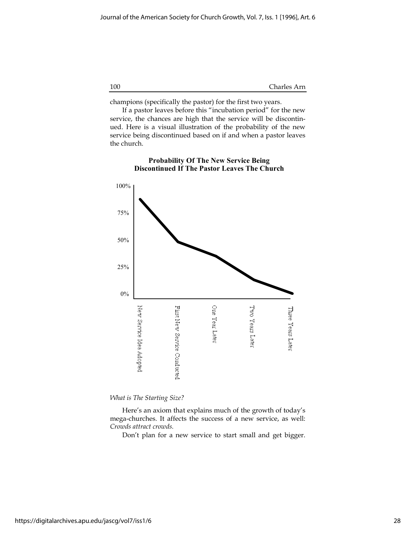champions (specifically the pastor) for the first two years.

If a pastor leaves before this "incubation period" for the new service, the chances are high that the service will be discontinued. Here is a visual illustration of the probability of the new service being discontinued based on if and when a pastor leaves the church.



#### Probability Of The New Service Being Discontinued If The Pastor Leaves The Church

What is The Starting Size?

Here's an axiom that explains much of the growth of today's mega-churches. It affects the success of a new service, as well: Crowds attract crowds.

Don't plan for a new service to start small and get bigger.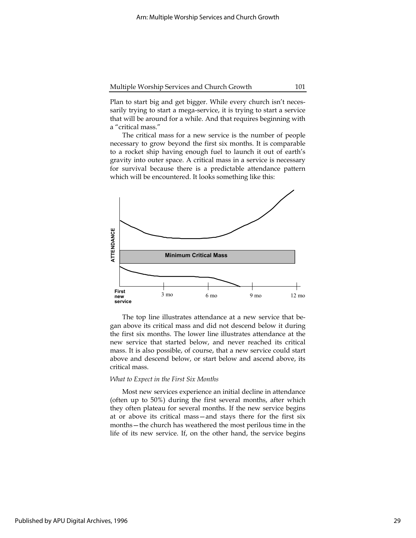Plan to start big and get bigger. While every church isn't necessarily trying to start a mega-service, it is trying to start a service that will be around for a while. And that requires beginning with a "critical mass."

The critical mass for a new service is the number of people necessary to grow beyond the first six months. It is comparable to a rocket ship having enough fuel to launch it out of earth's gravity into outer space. A critical mass in a service is necessary for survival because there is a predictable attendance pattern which will be encountered. It looks something like this:



The top line illustrates attendance at a new service that began above its critical mass and did not descend below it during the first six months. The lower line illustrates attendance at the new service that started below, and never reached its critical mass. It is also possible, of course, that a new service could start above and descend below, or start below and ascend above, its critical mass.

#### What to Expect in the First Six Months

Most new services experience an initial decline in attendance (often up to 50%) during the first several months, after which they often plateau for several months. If the new service begins at or above its critical mass—and stays there for the first six months—the church has weathered the most perilous time in the life of its new service. If, on the other hand, the service begins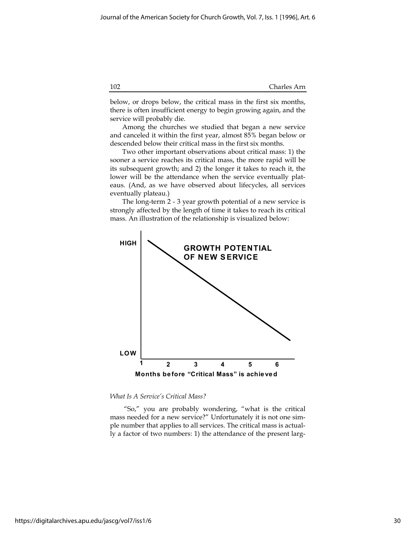below, or drops below, the critical mass in the first six months, there is often insufficient energy to begin growing again, and the service will probably die.

Among the churches we studied that began a new service and canceled it within the first year, almost 85% began below or descended below their critical mass in the first six months.

Two other important observations about critical mass: 1) the sooner a service reaches its critical mass, the more rapid will be its subsequent growth; and 2) the longer it takes to reach it, the lower will be the attendance when the service eventually plateaus. (And, as we have observed about lifecycles, all services eventually plateau.)

The long-term 2 - 3 year growth potential of a new service is strongly affected by the length of time it takes to reach its critical mass. An illustration of the relationship is visualized below:



What Is A Service's Critical Mass?

 "So," you are probably wondering, "what is the critical mass needed for a new service?" Unfortunately it is not one simple number that applies to all services. The critical mass is actually a factor of two numbers: 1) the attendance of the present larg-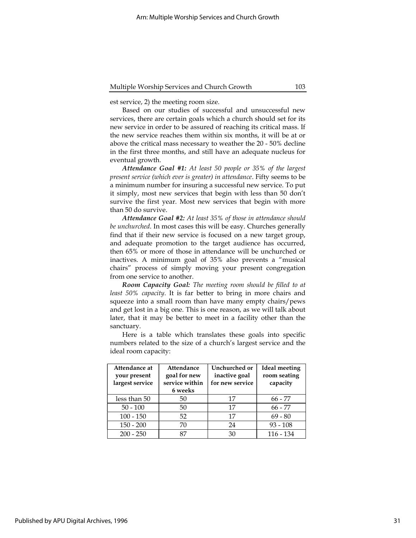est service, 2) the meeting room size.

Based on our studies of successful and unsuccessful new services, there are certain goals which a church should set for its new service in order to be assured of reaching its critical mass. If the new service reaches them within six months, it will be at or above the critical mass necessary to weather the 20 - 50% decline in the first three months, and still have an adequate nucleus for eventual growth.

Attendance Goal #1: At least 50 people or 35% of the largest present service (which ever is greater) in attendance. Fifty seems to be a minimum number for insuring a successful new service. To put it simply, most new services that begin with less than 50 don't survive the first year. Most new services that begin with more than 50 do survive.

Attendance Goal #2: At least 35% of those in attendance should be unchurched. In most cases this will be easy. Churches generally find that if their new service is focused on a new target group, and adequate promotion to the target audience has occurred, then 65% or more of those in attendance will be unchurched or inactives. A minimum goal of 35% also prevents a "musical chairs" process of simply moving your present congregation from one service to another.

Room Capacity Goal: The meeting room should be filled to at least 50% capacity. It is far better to bring in more chairs and squeeze into a small room than have many empty chairs/pews and get lost in a big one. This is one reason, as we will talk about later, that it may be better to meet in a facility other than the sanctuary.

Here is a table which translates these goals into specific numbers related to the size of a church's largest service and the ideal room capacity:

| Attendance at<br>your present<br>largest service | Attendance<br>goal for new<br>service within<br>6 weeks | Unchurched or<br>inactive goal<br>for new service | <b>Ideal meeting</b><br>room seating<br>capacity |
|--------------------------------------------------|---------------------------------------------------------|---------------------------------------------------|--------------------------------------------------|
| less than 50                                     | 50                                                      | 17                                                | $66 - 77$                                        |
| $50 - 100$                                       | 50                                                      | 17                                                | $66 - 77$                                        |
| $100 - 150$                                      | 52                                                      | 17                                                | $69 - 80$                                        |
| $150 - 200$                                      | 70                                                      | 24                                                | $93 - 108$                                       |
| $200 - 250$                                      | 87                                                      | 30                                                | $116 - 134$                                      |